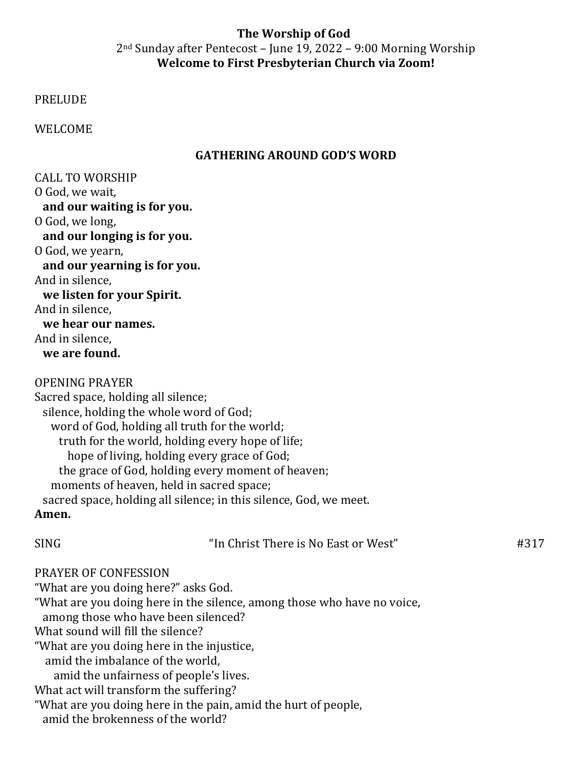## **The Worship of God**  $2<sup>nd</sup>$  Sunday after Pentecost – June 19, 2022 – 9:00 Morning Worship **Welcome to First Presbyterian Church via Zoom!**

PRELUDE 

WELCOME 

## **GATHERING AROUND GOD'S WORD**

CALL TO WORSHIP O God, we wait. and our waiting is for you. O God, we long, and our longing is for you. O God, we yearn, and our yearning is for you. And in silence, **we listen for your Spirit.** And in silence. **we hear our names.** And in silence,

We are found.

OPENING PRAYER 

Sacred space, holding all silence; silence, holding the whole word of God; word of God, holding all truth for the world; truth for the world, holding every hope of life; hope of living, holding every grace of God; the grace of God, holding every moment of heaven; moments of heaven, held in sacred space; sacred space, holding all silence; in this silence, God, we meet. **Amen.**

 $SING$   $\qquad \qquad \qquad$   $\qquad$   $\qquad$   $\qquad$   $\qquad$   $\qquad$   $\qquad$   $\qquad$   $\qquad$   $\qquad$   $\qquad$   $\qquad$   $\qquad$   $\qquad$   $\qquad$   $\qquad$   $\qquad$   $\qquad$   $\qquad$   $\qquad$   $\qquad$   $\qquad$   $\qquad$   $\qquad$   $\qquad$   $\qquad$   $\qquad$   $\qquad$   $\qquad$   $\qquad$   $\qquad$   $\qquad$   $\qquad$   $\qquad$   $\qquad$ 

#### PRAYER OF CONFESSION

"What are you doing here?" asks God. "What are you doing here in the silence, among those who have no voice, among those who have been silenced? What sound will fill the silence? "What are you doing here in the injustice, amid the imbalance of the world, amid the unfairness of people's lives. What act will transform the suffering? "What are you doing here in the pain, amid the hurt of people, amid the brokenness of the world?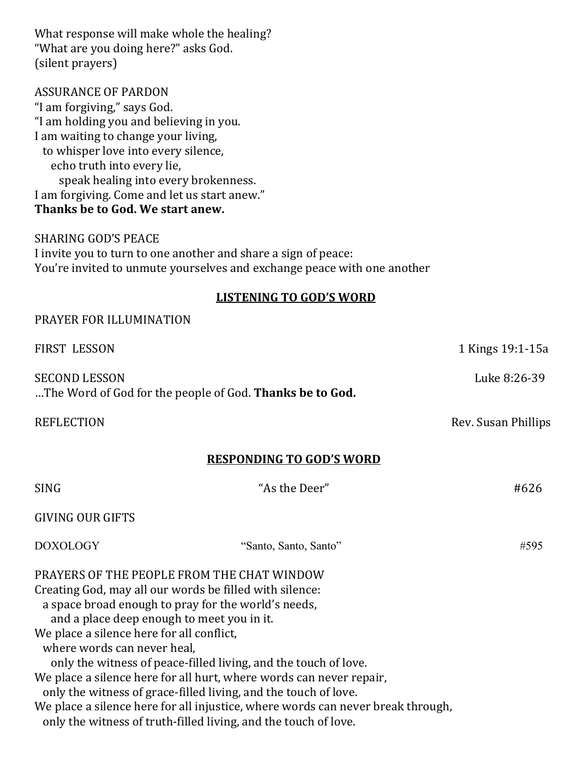| What response will make whole the healing?<br>"What are you doing here?" asks God.                                                                                                                                                                       |                                                                                                                                                                                                                       |                     |
|----------------------------------------------------------------------------------------------------------------------------------------------------------------------------------------------------------------------------------------------------------|-----------------------------------------------------------------------------------------------------------------------------------------------------------------------------------------------------------------------|---------------------|
| (silent prayers)                                                                                                                                                                                                                                         |                                                                                                                                                                                                                       |                     |
| <b>ASSURANCE OF PARDON</b><br>"I am forgiving," says God.<br>"I am holding you and believing in you.<br>I am waiting to change your living,<br>to whisper love into every silence,<br>echo truth into every lie,<br>speak healing into every brokenness. |                                                                                                                                                                                                                       |                     |
| I am forgiving. Come and let us start anew."<br>Thanks be to God. We start anew.                                                                                                                                                                         |                                                                                                                                                                                                                       |                     |
| <b>SHARING GOD'S PEACE</b>                                                                                                                                                                                                                               | I invite you to turn to one another and share a sign of peace:<br>You're invited to unmute yourselves and exchange peace with one another                                                                             |                     |
|                                                                                                                                                                                                                                                          | <b>LISTENING TO GOD'S WORD</b>                                                                                                                                                                                        |                     |
| PRAYER FOR ILLUMINATION                                                                                                                                                                                                                                  |                                                                                                                                                                                                                       |                     |
| FIRST LESSON                                                                                                                                                                                                                                             |                                                                                                                                                                                                                       | 1 Kings 19:1-15a    |
| <b>SECOND LESSON</b>                                                                                                                                                                                                                                     | The Word of God for the people of God. Thanks be to God.                                                                                                                                                              | Luke 8:26-39        |
| <b>REFLECTION</b>                                                                                                                                                                                                                                        |                                                                                                                                                                                                                       | Rev. Susan Phillips |
|                                                                                                                                                                                                                                                          | <b>RESPONDING TO GOD'S WORD</b>                                                                                                                                                                                       |                     |
| SING                                                                                                                                                                                                                                                     | "As the Deer"                                                                                                                                                                                                         | #626                |
| <b>GIVING OUR GIFTS</b>                                                                                                                                                                                                                                  |                                                                                                                                                                                                                       |                     |
| <b>DOXOLOGY</b>                                                                                                                                                                                                                                          | "Santo, Santo, Santo"                                                                                                                                                                                                 | #595                |
| Creating God, may all our words be filled with silence:<br>a space broad enough to pray for the world's needs,<br>and a place deep enough to meet you in it.<br>We place a silence here for all conflict,<br>where words can never heal,                 | PRAYERS OF THE PEOPLE FROM THE CHAT WINDOW<br>only the witness of peace-filled living, and the touch of love.<br>We place a silence here for all hurt, where words can never repair,                                  |                     |
|                                                                                                                                                                                                                                                          | only the witness of grace-filled living, and the touch of love.<br>We place a silence here for all injustice, where words can never break through,<br>only the witness of truth-filled living, and the touch of love. |                     |